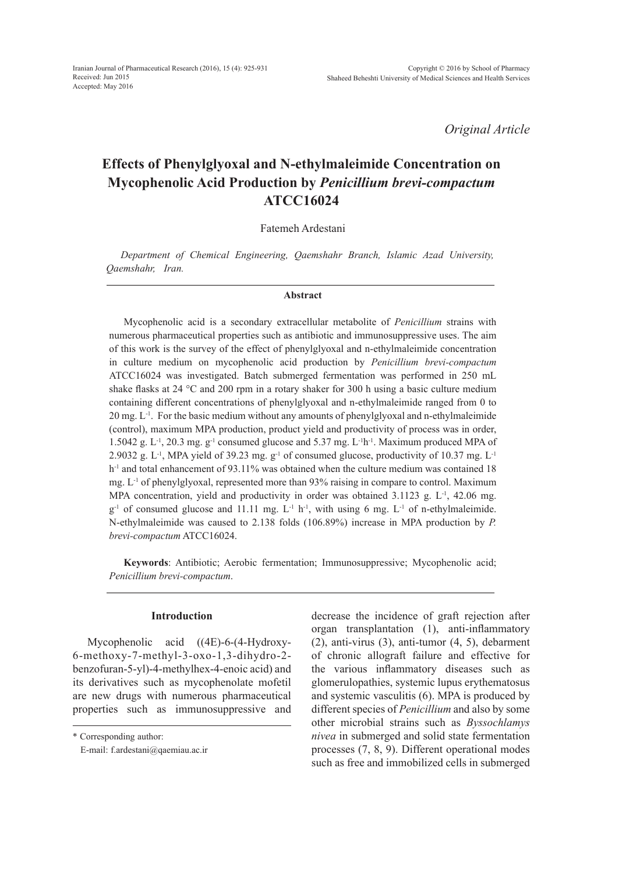*Original Article*

# **Effects of Phenylglyoxal and N-ethylmaleimide Concentration on Mycophenolic Acid Production by** *Penicillium brevi-compactum* **ATCC16024**

Fatemeh Ardestani

*Department of Chemical Engineering, Qaemshahr Branch, Islamic Azad University, Qaemshahr, Iran.*

#### **Abstract**

Mycophenolic acid is a secondary extracellular metabolite of *Penicillium* strains with numerous pharmaceutical properties such as antibiotic and immunosuppressive uses. The aim of this work is the survey of the effect of phenylglyoxal and n-ethylmaleimide concentration in culture medium on mycophenolic acid production by *Penicillium brevi-compactum* ATCC16024 was investigated. Batch submerged fermentation was performed in 250 mL shake flasks at 24  $\degree$ C and 200 rpm in a rotary shaker for 300 h using a basic culture medium containing different concentrations of phenylglyoxal and n-ethylmaleimide ranged from 0 to  $20 \text{ mg}$ .  $L^{-1}$ . For the basic medium without any amounts of phenylglyoxal and n-ethylmaleimide (control), maximum MPA production, product yield and productivity of process was in order, 1.5042 g. L<sup>-1</sup>, 20.3 mg. g<sup>-1</sup> consumed glucose and 5.37 mg. L<sup>-1</sup>h<sup>-1</sup>. Maximum produced MPA of 2.9032 g. L<sup>-1</sup>, MPA yield of 39.23 mg.  $g^{-1}$  of consumed glucose, productivity of 10.37 mg. L<sup>-1</sup> h<sup>-1</sup> and total enhancement of 93.11% was obtained when the culture medium was contained 18 mg.  $L^{-1}$  of phenylglyoxal, represented more than 93% raising in compare to control. Maximum MPA concentration, yield and productivity in order was obtained  $3.1123$  g. L<sup>-1</sup>, 42.06 mg.  $g^{-1}$  of consumed glucose and 11.11 mg. L<sup>-1</sup> h<sup>-1</sup>, with using 6 mg. L<sup>-1</sup> of n-ethylmaleimide. N-ethylmaleimide was caused to 2.138 folds (106.89%) increase in MPA production by *P. brevi-compactum* ATCC16024.

**Keywords**: Antibiotic; Aerobic fermentation; Immunosuppressive; Mycophenolic acid; *Penicillium brevi-compactum*.

## **Introduction**

Mycophenolic acid ((4E)-6-(4-Hydroxy-6-methoxy-7-methyl-3-oxo-1,3-dihydro-2 benzofuran-5-yl)-4-methylhex-4-enoic acid) and its derivatives such as mycophenolate mofetil are new drugs with numerous pharmaceutical properties such as immunosuppressive and decrease the incidence of graft rejection after organ transplantation (1), anti-inflammatory (2), anti-virus (3), anti-tumor (4, 5), debarment of chronic allograft failure and effective for the various inflammatory diseases such as glomerulopathies, systemic lupus erythematosus and systemic vasculitis (6). MPA is produced by different species of *Penicillium* and also by some other microbial strains such as *Byssochlamys nivea* in submerged and solid state fermentation processes (7, 8, 9). Different operational modes such as free and immobilized cells in submerged

<sup>\*</sup> Corresponding author:

E-mail: f.ardestani@qaemiau.ac.ir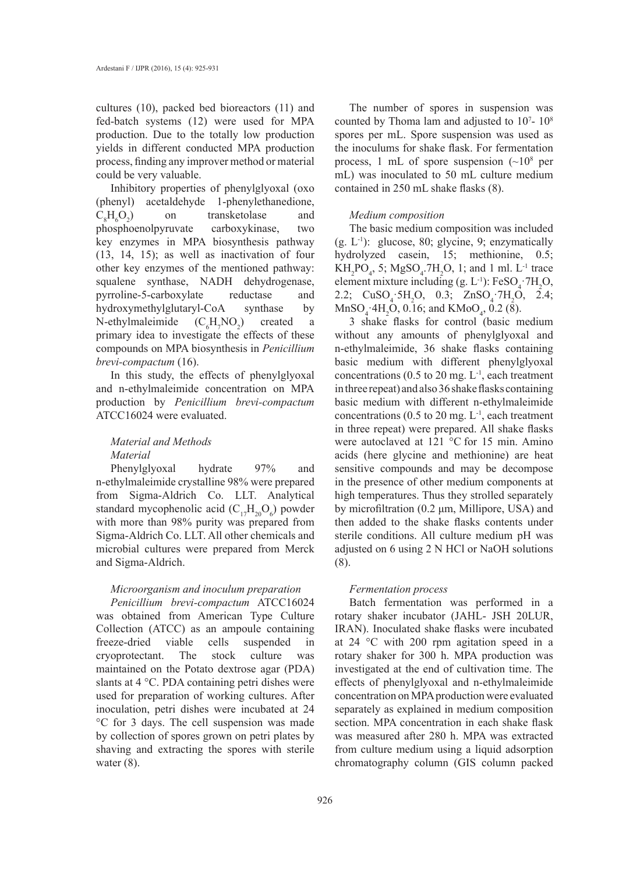cultures (10), packed bed bioreactors (11) and fed-batch systems (12) were used for MPA production. Due to the totally low production yields in different conducted MPA production process, finding any improver method or material could be very valuable.

Inhibitory properties of phenylglyoxal (oxo (phenyl) acetaldehyde 1-phenylethanedione,  $C_8H_6O_2$ ) on transketolase and phosphoenolpyruvate carboxykinase, two key enzymes in MPA biosynthesis pathway (13, 14, 15); as well as inactivation of four other key enzymes of the mentioned pathway: squalene synthase, NADH dehydrogenase, pyrroline-5-carboxylate reductase and hydroxymethylglutaryl-CoA synthase by N-ethylmaleimide  $H_7NO_2$ ) created a primary idea to investigate the effects of these compounds on MPA biosynthesis in *Penicillium brevi-compactum* (16).

In this study, the effects of phenylglyoxal and n-ethylmaleimide concentration on MPA production by *Penicillium brevi-compactum* ATCC16024 were evaluated.

## *Material and Methods Material*

Phenylglyoxal hydrate 97% and n-ethylmaleimide crystalline 98% were prepared from Sigma-Aldrich Co. LLT. Analytical standard mycophenolic acid  $(C_{17}H_{20}O_6)$  powder with more than 98% purity was prepared from Sigma-Aldrich Co. LLT. All other chemicals and microbial cultures were prepared from Merck and Sigma-Aldrich.

## *Microorganism and inoculum preparation*

*Penicillium brevi-compactum* ATCC16024 was obtained from American Type Culture Collection (ATCC) as an ampoule containing freeze-dried viable cells suspended in cryoprotectant. The stock culture was maintained on the Potato dextrose agar (PDA) slants at 4 °C. PDA containing petri dishes were used for preparation of working cultures. After inoculation, petri dishes were incubated at 24 °C for 3 days. The cell suspension was made by collection of spores grown on petri plates by shaving and extracting the spores with sterile water  $(8)$ .

The number of spores in suspension was counted by Thoma lam and adjusted to  $10<sup>7</sup>$ -  $10<sup>8</sup>$ spores per mL. Spore suspension was used as the inoculums for shake flask. For fermentation process, 1 mL of spore suspension  $({\sim}10^8$  per mL) was inoculated to 50 mL culture medium contained in 250 mL shake flasks (8).

## *Medium composition*

The basic medium composition was included  $(g, L^{-1})$ : glucose, 80; glycine, 9; enzymatically hydrolyzed casein, 15; methionine, 0.5;  $KH_2PO_4$ , 5;  $MgSO_4$ .7H<sub>2</sub>O, 1; and 1 ml. L<sup>-1</sup> trace element mixture including  $(g. L^{-1})$ : FeSO<sub>4</sub>  $7H_2O$ , 2.2;  $CuSO_4$  5H<sub>2</sub>O, 0.3;  $ZnSO_4$  7H<sub>2</sub>O, 2.4;  $MnSO_4$   $4H_2O$ , 0.16; and  $KMoO_4$ , 0.2 (8).

3 shake flasks for control (basic medium without any amounts of phenylglyoxal and n-ethylmaleimide, 36 shake flasks containing basic medium with different phenylglyoxal concentrations ( $0.5$  to  $20$  mg.  $L^{-1}$ , each treatment in three repeat) and also 36 shake flasks containing basic medium with different n-ethylmaleimide concentrations ( $0.5$  to  $20$  mg.  $L^{-1}$ , each treatment in three repeat) were prepared. All shake flasks were autoclaved at 121 °C for 15 min. Amino acids (here glycine and methionine) are heat sensitive compounds and may be decompose in the presence of other medium components at high temperatures. Thus they strolled separately by microfiltration (0.2 μm, Millipore, USA) and then added to the shake flasks contents under sterile conditions. All culture medium pH was adjusted on 6 using 2 N HCl or NaOH solutions (8).

#### *Fermentation process*

Batch fermentation was performed in a rotary shaker incubator (JAHL- JSH 20LUR, IRAN). Inoculated shake flasks were incubated at 24 °C with 200 rpm agitation speed in a rotary shaker for 300 h. MPA production was investigated at the end of cultivation time. The effects of phenylglyoxal and n-ethylmaleimide concentration on MPA production were evaluated separately as explained in medium composition section. MPA concentration in each shake flask was measured after 280 h. MPA was extracted from culture medium using a liquid adsorption chromatography column (GIS column packed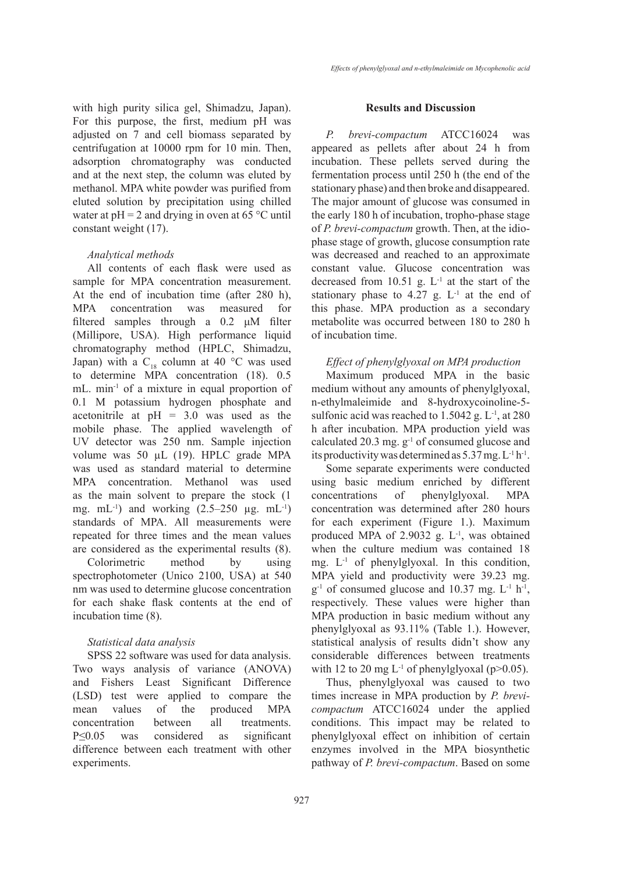with high purity silica gel, Shimadzu, Japan). For this purpose, the first, medium pH was adjusted on 7 and cell biomass separated by centrifugation at 10000 rpm for 10 min. Then, adsorption chromatography was conducted and at the next step, the column was eluted by methanol. MPA white powder was purified from eluted solution by precipitation using chilled water at  $pH = 2$  and drying in oven at 65 °C until constant weight (17).

### *Analytical methods*

All contents of each flask were used as sample for MPA concentration measurement. At the end of incubation time (after 280 h), MPA concentration was measured for filtered samples through a 0.2 μM filter (Millipore, USA). High performance liquid chromatography method (HPLC, Shimadzu, Japan) with a  $C_{18}$  column at 40 °C was used to determine MPA concentration (18). 0.5 mL. min<sup>-1</sup> of a mixture in equal proportion of 0.1 M potassium hydrogen phosphate and acetonitrile at pH = 3.0 was used as the mobile phase. The applied wavelength of UV detector was 250 nm. Sample injection volume was 50 µL (19). HPLC grade MPA was used as standard material to determine MPA concentration. Methanol was used as the main solvent to prepare the stock (1 mg.  $mL^{-1}$ ) and working  $(2.5-250 \mu g. mL^{-1})$ standards of MPA. All measurements were repeated for three times and the mean values are considered as the experimental results (8).

Colorimetric method by using spectrophotometer (Unico 2100, USA) at 540 nm was used to determine glucose concentration for each shake flask contents at the end of incubation time (8).

## *Statistical data analysis*

SPSS 22 software was used for data analysis. Two ways analysis of variance (ANOVA) and Fishers Least Significant Difference (LSD) test were applied to compare the mean values of the produced MPA concentration between all treatments. P≤0.05 was considered as significant difference between each treatment with other experiments.

#### **Results and Discussion**

*P. brevi-compactum* ATCC16024 was appeared as pellets after about 24 h from incubation. These pellets served during the fermentation process until 250 h (the end of the stationary phase) and then broke and disappeared. The major amount of glucose was consumed in the early 180 h of incubation, tropho-phase stage of *P. brevi-compactum* growth. Then, at the idiophase stage of growth, glucose consumption rate was decreased and reached to an approximate constant value. Glucose concentration was decreased from 10.51 g.  $L^{-1}$  at the start of the stationary phase to 4.27 g.  $L^{-1}$  at the end of this phase. MPA production as a secondary metabolite was occurred between 180 to 280 h of incubation time.

#### *Effect of phenylglyoxal on MPA production*

Maximum produced MPA in the basic medium without any amounts of phenylglyoxal, n-ethylmaleimide and 8-hydroxycoinoline-5 sulfonic acid was reached to  $1.5042$  g. L<sup>-1</sup>, at 280 h after incubation. MPA production yield was calculated 20.3 mg.  $g^{-1}$  of consumed glucose and its productivity was determined as 5.37 mg. L-1 h-1.

Some separate experiments were conducted using basic medium enriched by different concentrations of phenylglyoxal. MPA concentration was determined after 280 hours for each experiment (Figure 1.). Maximum produced MPA of  $2.9032$  g. L<sup>-1</sup>, was obtained when the culture medium was contained 18 mg.  $L^{-1}$  of phenylglyoxal. In this condition, MPA yield and productivity were 39.23 mg.  $g^{-1}$  of consumed glucose and 10.37 mg.  $L^{-1}$  h<sup>-1</sup>, respectively. These values were higher than MPA production in basic medium without any phenylglyoxal as 93.11% (Table 1.). However, statistical analysis of results didn't show any considerable differences between treatments with 12 to 20 mg  $L^{-1}$  of phenylglyoxal (p>0.05).

Thus, phenylglyoxal was caused to two times increase in MPA production by *P. brevicompactum* ATCC16024 under the applied conditions. This impact may be related to phenylglyoxal effect on inhibition of certain enzymes involved in the MPA biosynthetic pathway of *P. brevi-compactum*. Based on some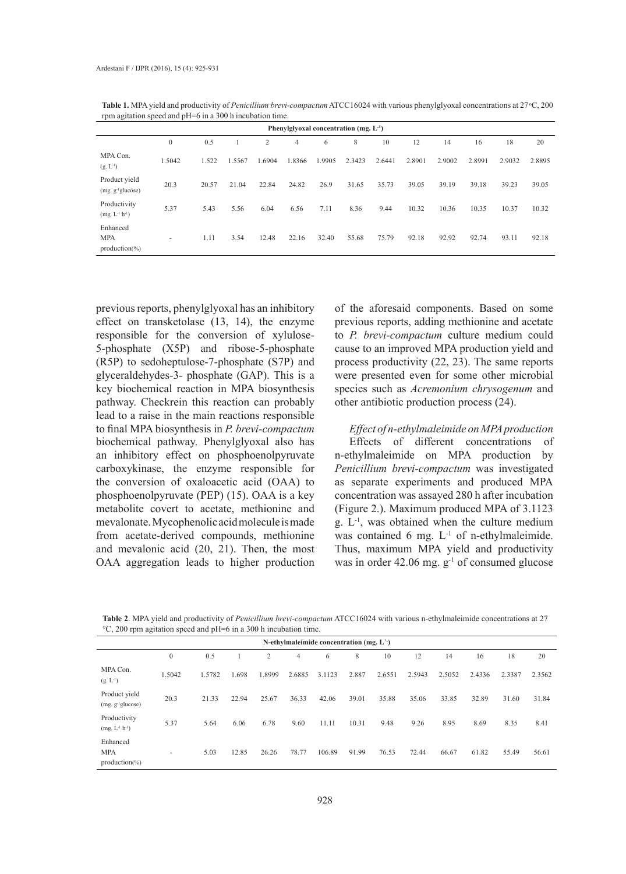| Phenylglyoxal concentration (mg. $L^{-1}$ ) |                |       |        |        |                |       |        |        |        |        |        |        |        |
|---------------------------------------------|----------------|-------|--------|--------|----------------|-------|--------|--------|--------|--------|--------|--------|--------|
|                                             | $\overline{0}$ | 0.5   |        | 2      | $\overline{4}$ | 6     | 8      | 10     | 12     | 14     | 16     | 18     | 20     |
| MPA Con.<br>$(g, L^{-1})$                   | 1.5042         | 1.522 | 1.5567 | 1.6904 | .8366          | .9905 | 2.3423 | 2.6441 | 2.8901 | 2.9002 | 2.8991 | 2.9032 | 2.8895 |
| Product yield<br>$(mg. g-1glucose)$         | 20.3           | 20.57 | 21.04  | 22.84  | 24.82          | 26.9  | 31.65  | 35.73  | 39.05  | 39.19  | 39.18  | 39.23  | 39.05  |
| Productivity<br>$(mg. L-1 h-1)$             | 5.37           | 5.43  | 5.56   | 6.04   | 6.56           | 7.11  | 8.36   | 9.44   | 10.32  | 10.36  | 10.35  | 10.37  | 10.32  |
| Enhanced<br><b>MPA</b><br>$production(\%)$  | -              | 1.11  | 3.54   | 12.48  | 22.16          | 32.40 | 55.68  | 75.79  | 92.18  | 92.92  | 92.74  | 93.11  | 92.18  |

Table 1. MPA yield and productivity of *Penicillium brevi-compactum* ATCC16024 with various phenylglyoxal concentrations at 27 °C, 200 rpm agitation speed and pH=6 in a 300 h incubation time.

previous reports, phenylglyoxal has an inhibitory effect on transketolase (13, 14), the enzyme responsible for the conversion of xylulose-5-phosphate (X5P) and ribose-5-phosphate (R5P) to sedoheptulose-7-phosphate (S7P) and glyceraldehydes-3- phosphate (GAP). This is a key biochemical reaction in MPA biosynthesis pathway. Checkrein this reaction can probably lead to a raise in the main reactions responsible to final MPA biosynthesis in *P. brevi-compactum* biochemical pathway. Phenylglyoxal also has an inhibitory effect on phosphoenolpyruvate carboxykinase, the enzyme responsible for the conversion of oxaloacetic acid (OAA) to phosphoenolpyruvate (PEP) (15). OAA is a key metabolite covert to acetate, methionine and mevalonate. Mycophenolic acid molecule is made from acetate-derived compounds, methionine and mevalonic acid (20, 21). Then, the most OAA aggregation leads to higher production

of the aforesaid components. Based on some previous reports, adding methionine and acetate to *P. brevi-compactum* culture medium could cause to an improved MPA production yield and process productivity (22, 23). The same reports were presented even for some other microbial species such as *Acremonium chrysogenum* and other antibiotic production process (24).

*Effect of n-ethylmaleimide on MPA production*  Effects of different concentrations of n-ethylmaleimide on MPA production by *Penicillium brevi-compactum* was investigated as separate experiments and produced MPA concentration was assayed 280 h after incubation (Figure 2.). Maximum produced MPA of 3.1123 g. L-1, was obtained when the culture medium was contained 6 mg. L<sup>-1</sup> of n-ethylmaleimide. Thus, maximum MPA yield and productivity was in order  $42.06$  mg.  $g^{-1}$  of consumed glucose

**Table 2**. MPA yield and productivity of *Penicillium brevi-compactum* ATCC16024 with various n-ethylmaleimide concentrations at 27 °C, 200 rpm agitation speed and pH=6 in a 300 h incubation time.

| N-ethylmaleimide concentration (mg. $L^{\prime}$ ) |              |        |       |        |        |        |       |        |        |        |        |        |        |
|----------------------------------------------------|--------------|--------|-------|--------|--------|--------|-------|--------|--------|--------|--------|--------|--------|
|                                                    | $\mathbf{0}$ | 0.5    |       | 2      | 4      | 6      | 8     | 10     | 12     | 14     | 16     | 18     | 20     |
| MPA Con.<br>$(g, L^{-1})$                          | 1.5042       | 1.5782 | 1.698 | 1.8999 | 2.6885 | 3.1123 | 2.887 | 2.6551 | 2.5943 | 2.5052 | 2.4336 | 2.3387 | 2.3562 |
| Product yield<br>$(mg. g-1glucose)$                | 20.3         | 21.33  | 22.94 | 25.67  | 36.33  | 42.06  | 39.01 | 35.88  | 35.06  | 33.85  | 32.89  | 31.60  | 31.84  |
| Productivity<br>$(mg. L-1 h-1)$                    | 5.37         | 5.64   | 6.06  | 6.78   | 9.60   | 11.11  | 10.31 | 9.48   | 9.26   | 8.95   | 8.69   | 8.35   | 8.41   |
| Enhanced<br><b>MPA</b><br>$production(\% )$        | -            | 5.03   | 12.85 | 26.26  | 78.77  | 106.89 | 91.99 | 76.53  | 72.44  | 66.67  | 61.82  | 55.49  | 56.61  |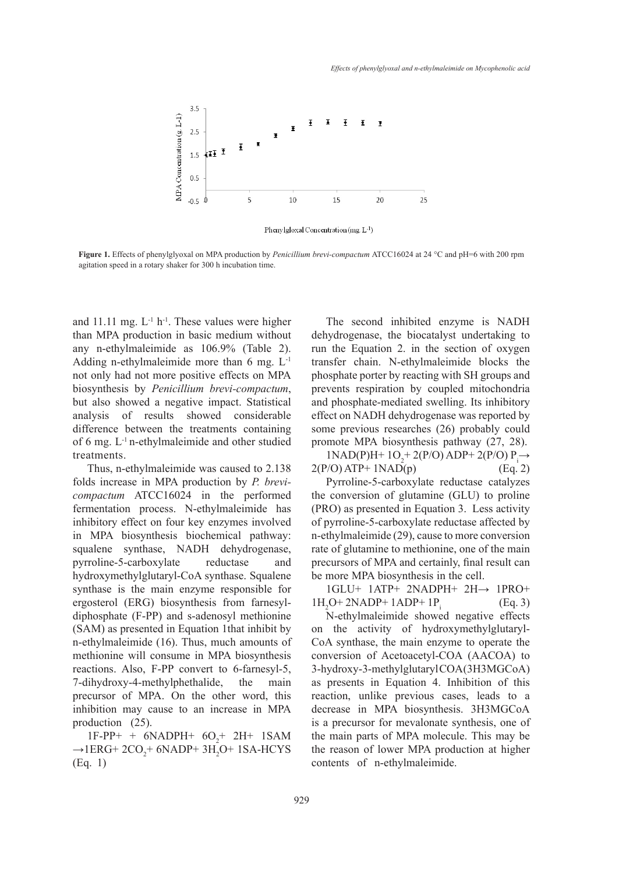

Phenylgloxal Concentration (mg. L<sup>-1</sup>)

**Figure 1.** Effects of phenylglyoxal on MPA production by *Penicillium brevi-compactum* ATCC16024 at 24 °C and pH=6 with 200 rpm agitation speed in a rotary shaker for 300 h incubation time.

and 11.11 mg.  $L^{-1}$  h<sup>-1</sup>. These values were higher than MPA production in basic medium without any n-ethylmaleimide as 106.9% (Table 2). Adding n-ethylmaleimide more than  $6 \text{ mg}$ .  $L^{-1}$ not only had not more positive effects on MPA biosynthesis by *Penicillium brevi-compactum*, but also showed a negative impact. Statistical analysis of results showed considerable difference between the treatments containing of 6 mg. L-1 n-ethylmaleimide and other studied treatments.

Thus, n-ethylmaleimide was caused to 2.138 folds increase in MPA production by *P. brevicompactum* ATCC16024 in the performed fermentation process. N-ethylmaleimide has inhibitory effect on four key enzymes involved in MPA biosynthesis biochemical pathway: squalene synthase, NADH dehydrogenase, pyrroline-5-carboxylate reductase and hydroxymethylglutaryl-CoA synthase. Squalene synthase is the main enzyme responsible for ergosterol (ERG) biosynthesis from farnesyldiphosphate (F-PP) and s-adenosyl methionine (SAM) as presented in Equation 1that inhibit by n-ethylmaleimide (16). Thus, much amounts of methionine will consume in MPA biosynthesis reactions. Also, F-PP convert to 6-farnesyl-5, 7-dihydroxy-4-methylphethalide, the main precursor of MPA. On the other word, this inhibition may cause to an increase in MPA production (25).

 $1F-PP+ + 6NADPH+ 6O<sub>2</sub>+ 2H+ 1SAM$  $\rightarrow$ 1ERG+ 2CO<sub>2</sub>+ 6NADP+ 3H<sub>2</sub>O+ 1SA-HCYS (Eq. 1)

The second inhibited enzyme is NADH dehydrogenase, the biocatalyst undertaking to run the Equation 2. in the section of oxygen transfer chain. N-ethylmaleimide blocks the phosphate porter by reacting with SH groups and prevents respiration by coupled mitochondria and phosphate-mediated swelling. Its inhibitory effect on NADH dehydrogenase was reported by some previous researches (26) probably could promote MPA biosynthesis pathway (27, 28).

 $1NAD(P)H+ 1O<sub>2</sub>+ 2(P/O) ADP+ 2(P/O) P<sub>i</sub> →$  $2(P/O)$  ATP+ 1NAD(p) (Eq. 2)

Pyrroline-5-carboxylate reductase catalyzes the conversion of glutamine (GLU) to proline (PRO) as presented in Equation 3. Less activity of pyrroline-5-carboxylate reductase affected by n-ethylmaleimide (29), cause to more conversion rate of glutamine to methionine, one of the main precursors of MPA and certainly, final result can be more MPA biosynthesis in the cell.

1GLU+ 1ATP+ 2NADPH+ 2H→ 1PRO+  $1H<sub>2</sub>O+2NADP+1ADP+1P<sub>i</sub>$ (Eq. 3)

N-ethylmaleimide showed negative effects on the activity of hydroxymethylglutaryl-CoA synthase, the main enzyme to operate the conversion of Acetoacetyl-COA (AACOA) to 3-hydroxy-3-methylglutaryl COA (3H3MGCoA) as presents in Equation 4. Inhibition of this reaction, unlike previous cases, leads to a decrease in MPA biosynthesis. 3H3MGCoA is a precursor for mevalonate synthesis, one of the main parts of MPA molecule. This may be the reason of lower MPA production at higher contents of n-ethylmaleimide.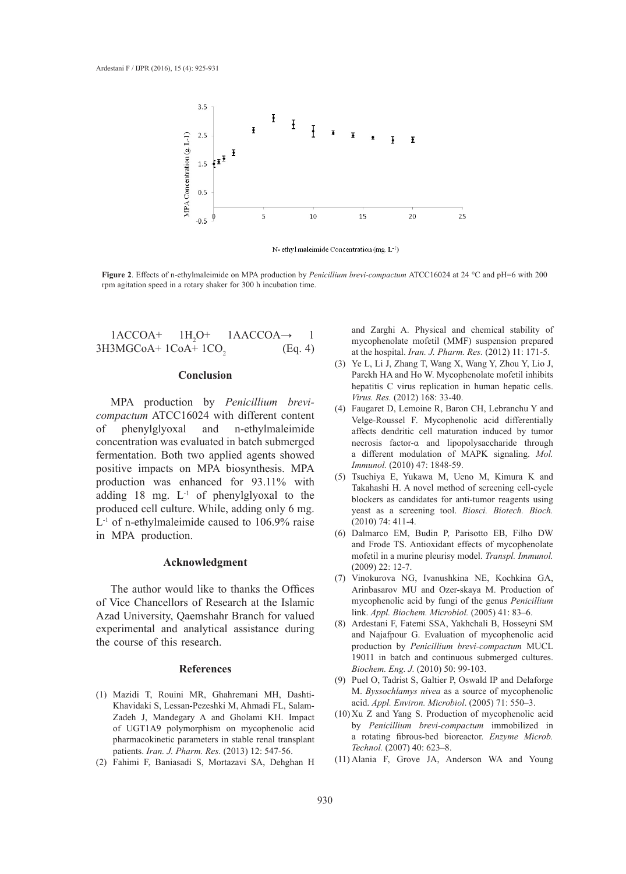

N-ethyl maleimide Concentration (mg. L<sup>-1</sup>)

**Figure 2**. Effects of n-ethylmaleimide on MPA production by *Penicillium brevi-compactum* ATCC16024 at 24 °C and pH=6 with 200 rpm agitation speed in a rotary shaker for 300 h incubation time.

 $1ACCOA+$   $1H<sub>2</sub>O+$  $1AACCOA \rightarrow 1$ 3H3MGCoA+ 1CoA+ 1CO<sup>2</sup> (Eq. 4)

#### **Conclusion**

MPA production by *Penicillium brevicompactum* ATCC16024 with different content of phenylglyoxal and n-ethylmaleimide concentration was evaluated in batch submerged fermentation. Both two applied agents showed positive impacts on MPA biosynthesis. MPA production was enhanced for 93.11% with adding 18 mg. L-1 of phenylglyoxal to the produced cell culture. While, adding only 6 mg. L<sup>-1</sup> of n-ethylmaleimide caused to 106.9% raise in MPA production.

#### **Acknowledgment**

The author would like to thanks the Offices of Vice Chancellors of Research at the Islamic Azad University, Qaemshahr Branch for valued experimental and analytical assistance during the course of this research.

#### **References**

- Mazidi T, Rouini MR, Ghahremani MH, Dashti-(1) Khavidaki S, Lessan-Pezeshki M, Ahmadi FL, Salam-Zadeh J, Mandegary A and Gholami KH. Impact of UGT1A9 polymorphism on mycophenolic acid pharmacokinetic parameters in stable renal transplant patients. *Iran. J. Pharm. Res.* (2013) 12: 547-56.
- Fahimi F, Baniasadi S, Mortazavi SA, Dehghan H (2)

and Zarghi A. Physical and chemical stability of mycophenolate mofetil (MMF) suspension prepared at the hospital. *Iran. J. Pharm. Res.* (2012) 11: 171-5.

- Ye L, Li J, Zhang T, Wang X, Wang Y, Zhou Y, Lio J, (3) Parekh HA and Ho W. Mycophenolate mofetil inhibits hepatitis C virus replication in human hepatic cells. *Virus. Res.* (2012) 168: 33-40.
- Faugaret D, Lemoine R, Baron CH, Lebranchu Y and (4) Velge-Roussel F. Mycophenolic acid differentially affects dendritic cell maturation induced by tumor necrosis factor-α and lipopolysaccharide through a different modulation of MAPK signaling. *Mol. Immunol.* (2010) 47: 1848-59.
- Tsuchiya E, Yukawa M, Ueno M, Kimura K and (5) Takahashi H. A novel method of screening cell-cycle blockers as candidates for anti-tumor reagents using yeast as a screening tool. *Biosci. Biotech. Bioch.* (2010) 74: 411-4.
- (6) Dalmarco EM, Budin P, Parisotto EB, Filho DW and Frode TS. Antioxidant effects of mycophenolate mofetil in a murine pleurisy model. *Transpl. Immunol.*  (2009) 22: 12-7.
- (7) Vinokurova NG, Ivanushkina NE, Kochkina GA, Arinbasarov MU and Ozer-skaya M. Production of mycophenolic acid by fungi of the genus *Penicillium*  link. *Appl. Biochem. Microbiol.* (2005) 41: 83–6.
- Ardestani F, Fatemi SSA, Yakhchali B, Hosseyni SM (8) and Najafpour G. Evaluation of mycophenolic acid production by *Penicillium brevi-compactum* MUCL 19011 in batch and continuous submerged cultures. *Biochem. Eng. J.* (2010) 50: 99-103.
- (9) Puel O, Tadrist S, Galtier P, Oswald IP and Delaforge M. *Byssochlamys nivea* as a source of mycophenolic acid. *Appl. Environ. Microbiol*. (2005) 71: 550–3.
- $(10)$  Xu Z and Yang S. Production of mycophenolic acid by *Penicillium brevi-compactum* immobilized in a rotating fibrous-bed bioreactor. *Enzyme Microb. Technol.* (2007) 40: 623–8.
- (11) Alania F, Grove JA, Anderson WA and Young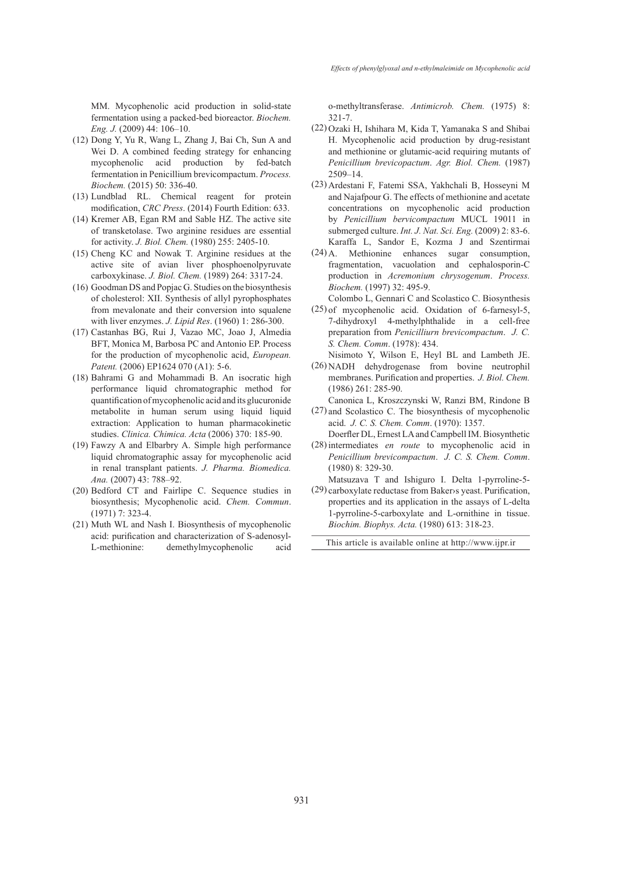MM. Mycophenolic acid production in solid-state fermentation using a packed-bed bioreactor. *Biochem. Eng. J.* (2009) 44: 106–10.

- (12) Dong Y, Yu R, Wang L, Zhang J, Bai Ch, Sun A and Wei D. A combined feeding strategy for enhancing mycophenolic acid production by fed-batch fermentation in Penicillium brevicompactum. *Process. Biochem.* (2015) 50: 336-40.
- (13) Lundblad RL. Chemical reagent for protein modification, *CRC Press*. (2014) Fourth Edition: 633.
- $(14)$  Kremer AB, Egan RM and Sable HZ. The active site of transketolase. Two arginine residues are essential for activity. *J. Biol. Chem.* (1980) 255: 2405-10.
- $(15)$  Cheng KC and Nowak T. Arginine residues at the active site of avian liver phosphoenolpyruvate carboxykinase. *J. Biol. Chem.* (1989) 264: 3317-24.
- $(16)$  Goodman DS and Popjac G. Studies on the biosynthesis of cholesterol: XII. Synthesis of allyl pyrophosphates from mevalonate and their conversion into squalene with liver enzymes. *J. Lipid Res*. (1960) 1: 286-300.
- Castanhas BG, Rui J, Vazao MC, Joao J, Almedia (17) BFT, Monica M, Barbosa PC and Antonio EP. Process for the production of mycophenolic acid, *European. Patent.* (2006) EP1624 070 (A1): 5-6.
- (18) Bahrami G and Mohammadi B. An isocratic high performance liquid chromatographic method for quantification of mycophenolic acid and its glucuronide metabolite in human serum using liquid liquid extraction: Application to human pharmacokinetic studies. *Clinica. Chimica. Acta* (2006) 370: 185-90.
- $(19)$  Fawzy A and Elbarbry A. Simple high performance liquid chromatographic assay for mycophenolic acid in renal transplant patients. *J. Pharma. Biomedica. Ana.* (2007) 43: 788–92.
- $(20)$  Bedford CT and Fairlipe C. Sequence studies in biosynthesis; Mycophenolic acid. *Chem. Commun*. (1971) 7: 323-4.
- (21) Muth WL and Nash I. Biosynthesis of mycophenolic acid: purification and characterization of S-adenosyl-L-methionine: demethylmycophenolic acid

o-methyltransferase. *Antimicrob. Chem.* (1975) 8: 321-7.

- (22) Ozaki H, Ishihara M, Kida T, Yamanaka S and Shibai H. Mycophenolic acid production by drug-resistant and methionine or glutamic-acid requiring mutants of *Penicillium brevicopactum*. *Agr. Biol. Chem.* (1987) 2509–14.
- (23) Ardestani F, Fatemi SSA, Yakhchali B, Hosseyni M and Najafpour G. The effects of methionine and acetate concentrations on mycophenolic acid production by *Penicillium bervicompactum* MUCL 19011 in submerged culture. *Int. J. Nat. Sci. Eng.* (2009) 2: 83-6. Karaffa L, Sandor E, Kozma J and Szentirmai
- (24) A. Methionine enhances sugar consumption, fragmentation, vacuolation and cephalosporin-C production in *Acremonium chrysogenum*. *Process. Biochem.* (1997) 32: 495-9.
- Colombo L, Gennari C and Scolastico C. Biosynthesis  $(25)$  of mycophenolic acid. Oxidation of 6-farnesyl-5, 7-dihydroxyl 4-methylphthalide in a cell-free preparation from *Penicilliurn brevicompactum*. *J. C. S. Chem. Comm*. (1978): 434.
- Nisimoto Y, Wilson E, Heyl BL and Lambeth JE. (26) NADH dehydrogenase from bovine neutrophil membranes. Purification and properties. *J. Biol. Chem.* (1986) 261: 285-90.
- Canonica L, Kroszczynski W, Ranzi BM, Rindone B  $(27)$  and Scolastico C. The biosynthesis of mycophenolic acid. *J. C. S. Chem. Comm*. (1970): 1357.
- Doerfler DL, Ernest LA and Campbell IM. Biosynthetic (28) intermediates *en route* to mycophenolic acid in
- *Penicillium brevicompactum*. *J. C. S. Chem. Comm*. (1980) 8: 329-30.
- Matsuzava T and Ishiguro I. Delta 1-pyrroline-5- (29) carboxylate reductase from Baker>s yeast. Purification, properties and its application in the assays of L-delta 1-pyrroline-5-carboxylate and L-ornithine in tissue. *Biochim. Biophys. Acta.* (1980) 613: 318-23.

This article is available online at http://www.ijpr.ir